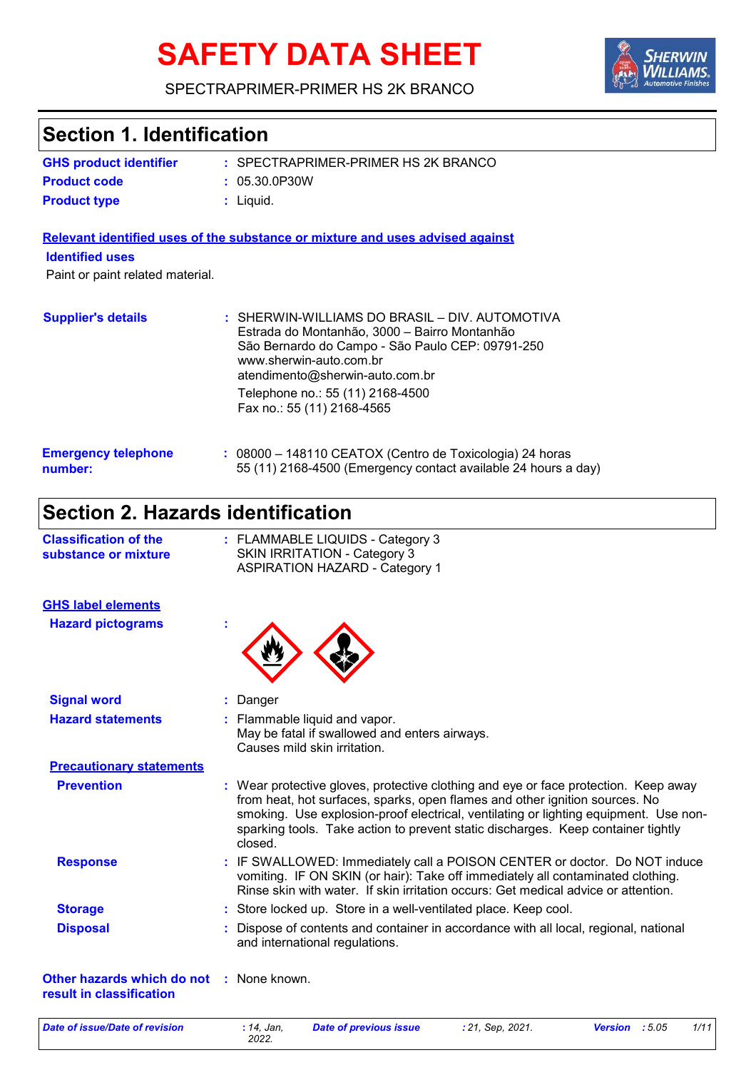# **SAFETY DATA SHEET**



### SPECTRAPRIMER-PRIMER HS 2K BRANCO

| <b>Section 1. Identification</b>                           |                                                                                                                                                                                                                                                                                                                                                           |
|------------------------------------------------------------|-----------------------------------------------------------------------------------------------------------------------------------------------------------------------------------------------------------------------------------------------------------------------------------------------------------------------------------------------------------|
| <b>GHS product identifier</b>                              | : SPECTRAPRIMER-PRIMER HS 2K BRANCO                                                                                                                                                                                                                                                                                                                       |
| <b>Product code</b>                                        | : 05.30.0P30W                                                                                                                                                                                                                                                                                                                                             |
| <b>Product type</b>                                        | : Liquid.                                                                                                                                                                                                                                                                                                                                                 |
|                                                            | Relevant identified uses of the substance or mixture and uses advised against                                                                                                                                                                                                                                                                             |
| <b>Identified uses</b><br>Paint or paint related material. |                                                                                                                                                                                                                                                                                                                                                           |
| <b>Supplier's details</b>                                  | : SHERWIN-WILLIAMS DO BRASIL - DIV. AUTOMOTIVA<br>Estrada do Montanhão, 3000 - Bairro Montanhão<br>São Bernardo do Campo - São Paulo CEP: 09791-250<br>www.sherwin-auto.com.br<br>atendimento@sherwin-auto.com.br<br>Telephone no.: 55 (11) 2168-4500<br>Fax no.: 55 (11) 2168-4565                                                                       |
| <b>Emergency telephone</b><br>number:                      | : 08000 - 148110 CEATOX (Centro de Toxicologia) 24 horas<br>55 (11) 2168-4500 (Emergency contact available 24 hours a day)                                                                                                                                                                                                                                |
| <b>Section 2. Hazards identification</b>                   |                                                                                                                                                                                                                                                                                                                                                           |
| <b>Classification of the</b><br>substance or mixture       | : FLAMMABLE LIQUIDS - Category 3<br><b>SKIN IRRITATION - Category 3</b><br><b>ASPIRATION HAZARD - Category 1</b>                                                                                                                                                                                                                                          |
| <b>GHS label elements</b>                                  |                                                                                                                                                                                                                                                                                                                                                           |
| <b>Hazard pictograms</b>                                   |                                                                                                                                                                                                                                                                                                                                                           |
| <b>Signal word</b>                                         | : Danger                                                                                                                                                                                                                                                                                                                                                  |
| <b>Hazard statements</b>                                   | Flammable liquid and vapor.<br>May be fatal if swallowed and enters airways.<br>Causes mild skin irritation.                                                                                                                                                                                                                                              |
| <b>Precautionary statements</b>                            |                                                                                                                                                                                                                                                                                                                                                           |
| <b>Prevention</b>                                          | : Wear protective gloves, protective clothing and eye or face protection. Keep away<br>from heat, hot surfaces, sparks, open flames and other ignition sources. No<br>smoking. Use explosion-proof electrical, ventilating or lighting equipment. Use non-<br>sparking tools. Take action to prevent static discharges. Keep container tightly<br>closed. |
| <b>Response</b>                                            | IF SWALLOWED: Immediately call a POISON CENTER or doctor. Do NOT induce<br>÷.<br>vomiting. IF ON SKIN (or hair): Take off immediately all contaminated clothing.<br>Rinse skin with water. If skin irritation occurs: Get medical advice or attention.                                                                                                    |
| <b>Storage</b>                                             | : Store locked up. Store in a well-ventilated place. Keep cool.                                                                                                                                                                                                                                                                                           |
| <b>Disposal</b>                                            | Dispose of contents and container in accordance with all local, regional, national<br>and international regulations.                                                                                                                                                                                                                                      |
| Other hazards which do not<br>result in classification     | : None known.                                                                                                                                                                                                                                                                                                                                             |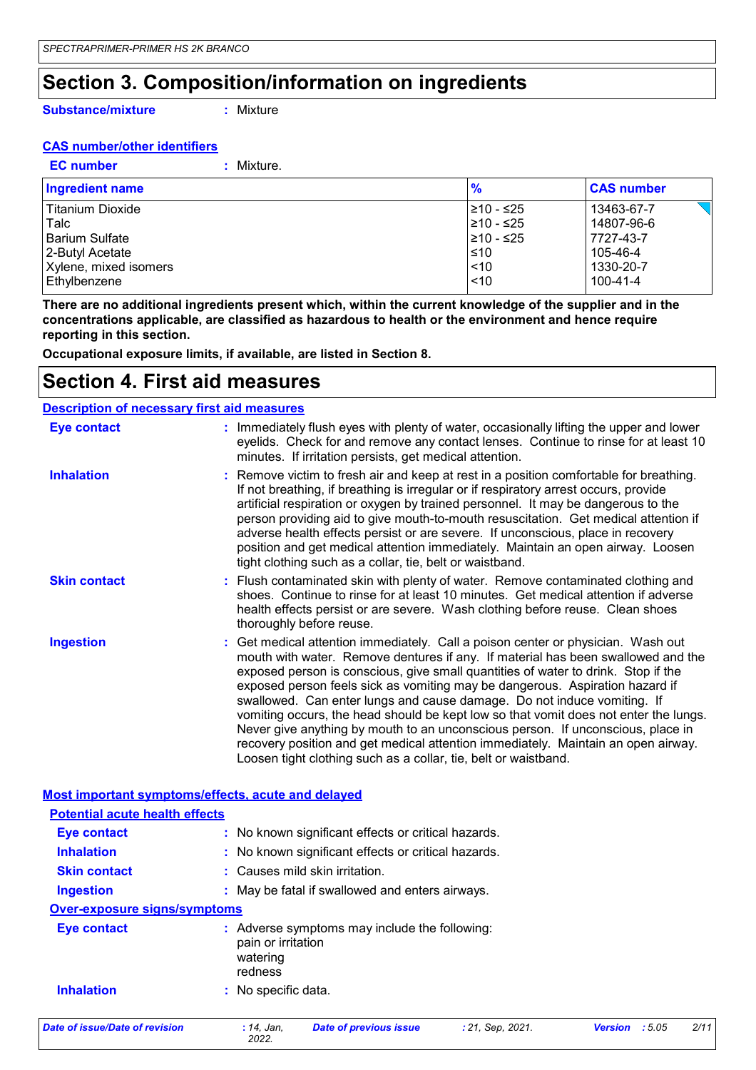### **Section 3. Composition/information on ingredients**

**Substance/mixture**

**:** Mixture

#### **CAS number/other identifiers**

**EC number :** Mixture.

| <b>Ingredient name</b> | %          | <b>CAS number</b> |
|------------------------|------------|-------------------|
| Titanium Dioxide       | I≥10 - ≤25 | 13463-67-7        |
| Talc                   | 210 - ≤25  | 14807-96-6        |
| Barium Sulfate         | 210 - ≤25  | 7727-43-7         |
| 2-Butyl Acetate        | $\leq 10$  | 105-46-4          |
| Xylene, mixed isomers  | < 10       | 1330-20-7         |
| Ethylbenzene           | < 10       | 100-41-4          |

**There are no additional ingredients present which, within the current knowledge of the supplier and in the concentrations applicable, are classified as hazardous to health or the environment and hence require reporting in this section.**

**Occupational exposure limits, if available, are listed in Section 8.**

### **Section 4. First aid measures**

#### **Description of necessary first aid measures**

| <b>Eye contact</b>  | : Immediately flush eyes with plenty of water, occasionally lifting the upper and lower<br>eyelids. Check for and remove any contact lenses. Continue to rinse for at least 10<br>minutes. If irritation persists, get medical attention.                                                                                                                                                                                                                                                                                                                                                                                                                                                                                                               |
|---------------------|---------------------------------------------------------------------------------------------------------------------------------------------------------------------------------------------------------------------------------------------------------------------------------------------------------------------------------------------------------------------------------------------------------------------------------------------------------------------------------------------------------------------------------------------------------------------------------------------------------------------------------------------------------------------------------------------------------------------------------------------------------|
| <b>Inhalation</b>   | : Remove victim to fresh air and keep at rest in a position comfortable for breathing.<br>If not breathing, if breathing is irregular or if respiratory arrest occurs, provide<br>artificial respiration or oxygen by trained personnel. It may be dangerous to the<br>person providing aid to give mouth-to-mouth resuscitation. Get medical attention if<br>adverse health effects persist or are severe. If unconscious, place in recovery<br>position and get medical attention immediately. Maintain an open airway. Loosen<br>tight clothing such as a collar, tie, belt or waistband.                                                                                                                                                            |
| <b>Skin contact</b> | : Flush contaminated skin with plenty of water. Remove contaminated clothing and<br>shoes. Continue to rinse for at least 10 minutes. Get medical attention if adverse<br>health effects persist or are severe. Wash clothing before reuse. Clean shoes<br>thoroughly before reuse.                                                                                                                                                                                                                                                                                                                                                                                                                                                                     |
| <b>Ingestion</b>    | : Get medical attention immediately. Call a poison center or physician. Wash out<br>mouth with water. Remove dentures if any. If material has been swallowed and the<br>exposed person is conscious, give small quantities of water to drink. Stop if the<br>exposed person feels sick as vomiting may be dangerous. Aspiration hazard if<br>swallowed. Can enter lungs and cause damage. Do not induce vomiting. If<br>vomiting occurs, the head should be kept low so that vomit does not enter the lungs.<br>Never give anything by mouth to an unconscious person. If unconscious, place in<br>recovery position and get medical attention immediately. Maintain an open airway.<br>Loosen tight clothing such as a collar, tie, belt or waistband. |

|                                       | Most important symptoms/effects, acute and delayed                                         |  |
|---------------------------------------|--------------------------------------------------------------------------------------------|--|
| <b>Potential acute health effects</b> |                                                                                            |  |
| <b>Eye contact</b>                    | : No known significant effects or critical hazards.                                        |  |
| <b>Inhalation</b>                     | : No known significant effects or critical hazards.                                        |  |
| <b>Skin contact</b>                   | : Causes mild skin irritation.                                                             |  |
| <b>Ingestion</b>                      | : May be fatal if swallowed and enters airways.                                            |  |
| <b>Over-exposure signs/symptoms</b>   |                                                                                            |  |
| Eye contact                           | : Adverse symptoms may include the following:<br>pain or irritation<br>watering<br>redness |  |
| <b>Inhalation</b>                     | : No specific data.                                                                        |  |

*Date of issue/Date of revision* **:** *14, Jan,*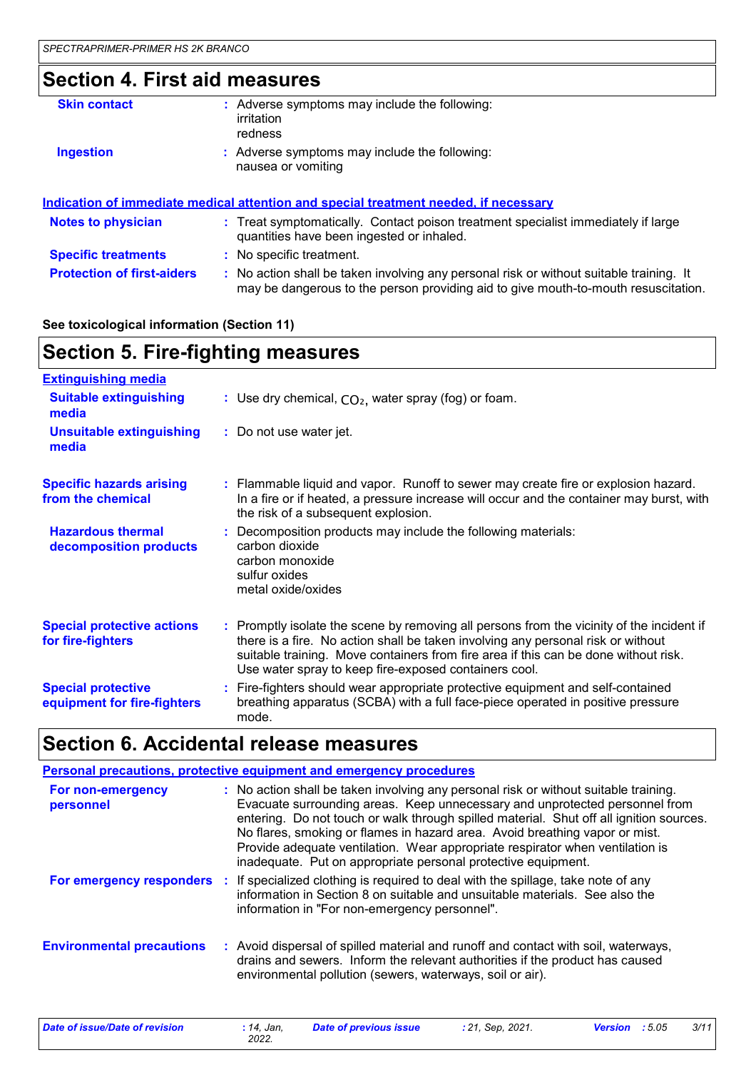### **Section 4. First aid measures**

| <b>Skin contact</b>               | : Adverse symptoms may include the following:<br><i>irritation</i><br>redness                                                                                                 |
|-----------------------------------|-------------------------------------------------------------------------------------------------------------------------------------------------------------------------------|
| <b>Ingestion</b>                  | : Adverse symptoms may include the following:<br>nausea or vomiting                                                                                                           |
|                                   | <u>Indication of immediate medical attention and special treatment needed, if necessary</u>                                                                                   |
| <b>Notes to physician</b>         | : Treat symptomatically. Contact poison treatment specialist immediately if large<br>quantities have been ingested or inhaled.                                                |
| <b>Specific treatments</b>        | : No specific treatment.                                                                                                                                                      |
| <b>Protection of first-aiders</b> | : No action shall be taken involving any personal risk or without suitable training. It<br>may be dangerous to the person providing aid to give mouth-to-mouth resuscitation. |

#### **See toxicological information (Section 11)**

## **Section 5. Fire-fighting measures**

| <b>Extinguishing media</b>                               |                                                                                                                                                                                                                                                                                                                               |
|----------------------------------------------------------|-------------------------------------------------------------------------------------------------------------------------------------------------------------------------------------------------------------------------------------------------------------------------------------------------------------------------------|
| <b>Suitable extinguishing</b><br>media                   | : Use dry chemical, $CO2$ , water spray (fog) or foam.                                                                                                                                                                                                                                                                        |
| <b>Unsuitable extinguishing</b><br>media                 | : Do not use water jet.                                                                                                                                                                                                                                                                                                       |
| <b>Specific hazards arising</b><br>from the chemical     | : Flammable liquid and vapor. Runoff to sewer may create fire or explosion hazard.<br>In a fire or if heated, a pressure increase will occur and the container may burst, with<br>the risk of a subsequent explosion.                                                                                                         |
| <b>Hazardous thermal</b><br>decomposition products       | : Decomposition products may include the following materials:<br>carbon dioxide<br>carbon monoxide<br>sulfur oxides<br>metal oxide/oxides                                                                                                                                                                                     |
| <b>Special protective actions</b><br>for fire-fighters   | : Promptly isolate the scene by removing all persons from the vicinity of the incident if<br>there is a fire. No action shall be taken involving any personal risk or without<br>suitable training. Move containers from fire area if this can be done without risk.<br>Use water spray to keep fire-exposed containers cool. |
| <b>Special protective</b><br>equipment for fire-fighters | : Fire-fighters should wear appropriate protective equipment and self-contained<br>breathing apparatus (SCBA) with a full face-piece operated in positive pressure<br>mode.                                                                                                                                                   |

### **Section 6. Accidental release measures**

|                                  | Personal precautions, protective equipment and emergency procedures                                                                                                                                                                                                                                                                                                                                                                                                                             |
|----------------------------------|-------------------------------------------------------------------------------------------------------------------------------------------------------------------------------------------------------------------------------------------------------------------------------------------------------------------------------------------------------------------------------------------------------------------------------------------------------------------------------------------------|
| For non-emergency<br>personnel   | : No action shall be taken involving any personal risk or without suitable training.<br>Evacuate surrounding areas. Keep unnecessary and unprotected personnel from<br>entering. Do not touch or walk through spilled material. Shut off all ignition sources.<br>No flares, smoking or flames in hazard area. Avoid breathing vapor or mist.<br>Provide adequate ventilation. Wear appropriate respirator when ventilation is<br>inadequate. Put on appropriate personal protective equipment. |
|                                  | <b>For emergency responders</b> : If specialized clothing is required to deal with the spillage, take note of any<br>information in Section 8 on suitable and unsuitable materials. See also the<br>information in "For non-emergency personnel".                                                                                                                                                                                                                                               |
| <b>Environmental precautions</b> | : Avoid dispersal of spilled material and runoff and contact with soil, waterways,<br>drains and sewers. Inform the relevant authorities if the product has caused<br>environmental pollution (sewers, waterways, soil or air).                                                                                                                                                                                                                                                                 |

*Date of issue/Date of revision* **:** *14, Jan, 2022. Date of previous issue : 21, Sep, 2021. Version : 5.05 3/11*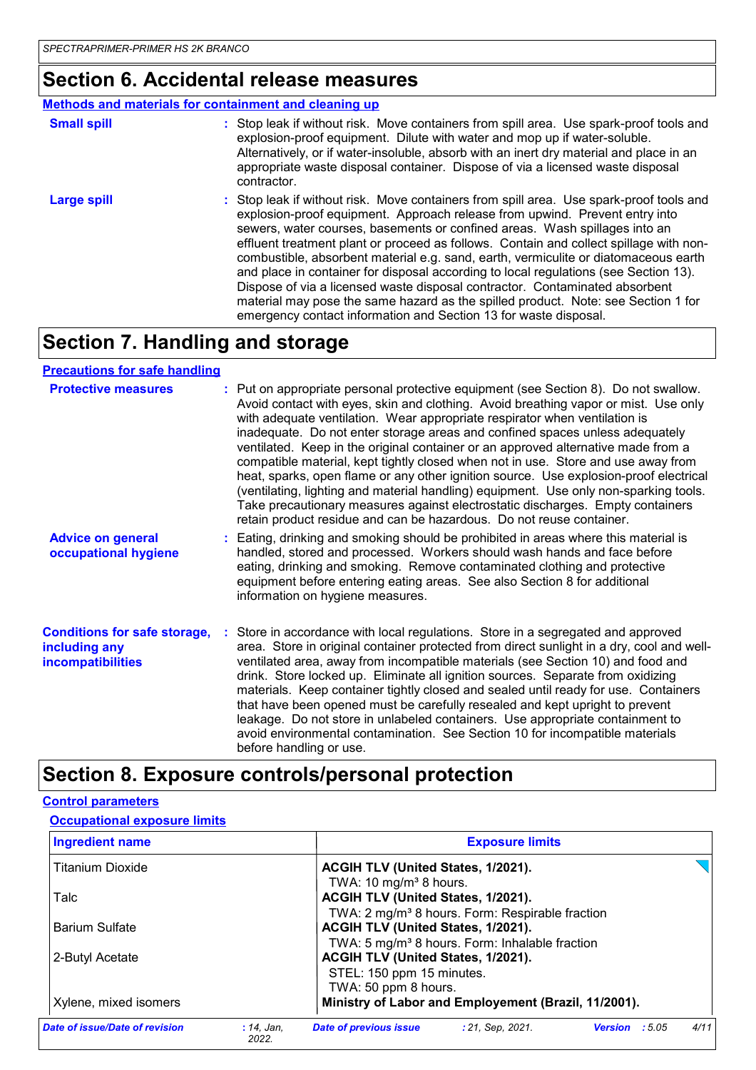### **Section 6. Accidental release measures**

#### **Methods and materials for containment and cleaning up**

| <b>Small spill</b> | : Stop leak if without risk. Move containers from spill area. Use spark-proof tools and<br>explosion-proof equipment. Dilute with water and mop up if water-soluble.<br>Alternatively, or if water-insoluble, absorb with an inert dry material and place in an<br>appropriate waste disposal container. Dispose of via a licensed waste disposal<br>contractor.                                                                                                                                                                                                                                                                                                                                                                                                      |
|--------------------|-----------------------------------------------------------------------------------------------------------------------------------------------------------------------------------------------------------------------------------------------------------------------------------------------------------------------------------------------------------------------------------------------------------------------------------------------------------------------------------------------------------------------------------------------------------------------------------------------------------------------------------------------------------------------------------------------------------------------------------------------------------------------|
| <b>Large spill</b> | : Stop leak if without risk. Move containers from spill area. Use spark-proof tools and<br>explosion-proof equipment. Approach release from upwind. Prevent entry into<br>sewers, water courses, basements or confined areas. Wash spillages into an<br>effluent treatment plant or proceed as follows. Contain and collect spillage with non-<br>combustible, absorbent material e.g. sand, earth, vermiculite or diatomaceous earth<br>and place in container for disposal according to local regulations (see Section 13).<br>Dispose of via a licensed waste disposal contractor. Contaminated absorbent<br>material may pose the same hazard as the spilled product. Note: see Section 1 for<br>emergency contact information and Section 13 for waste disposal. |

### **Section 7. Handling and storage**

#### **Precautions for safe handling**

| <b>Protective measures</b>                                                       | : Put on appropriate personal protective equipment (see Section 8). Do not swallow.<br>Avoid contact with eyes, skin and clothing. Avoid breathing vapor or mist. Use only<br>with adequate ventilation. Wear appropriate respirator when ventilation is<br>inadequate. Do not enter storage areas and confined spaces unless adequately<br>ventilated. Keep in the original container or an approved alternative made from a<br>compatible material, kept tightly closed when not in use. Store and use away from<br>heat, sparks, open flame or any other ignition source. Use explosion-proof electrical<br>(ventilating, lighting and material handling) equipment. Use only non-sparking tools.<br>Take precautionary measures against electrostatic discharges. Empty containers<br>retain product residue and can be hazardous. Do not reuse container. |
|----------------------------------------------------------------------------------|----------------------------------------------------------------------------------------------------------------------------------------------------------------------------------------------------------------------------------------------------------------------------------------------------------------------------------------------------------------------------------------------------------------------------------------------------------------------------------------------------------------------------------------------------------------------------------------------------------------------------------------------------------------------------------------------------------------------------------------------------------------------------------------------------------------------------------------------------------------|
| <b>Advice on general</b><br>occupational hygiene                                 | : Eating, drinking and smoking should be prohibited in areas where this material is<br>handled, stored and processed. Workers should wash hands and face before<br>eating, drinking and smoking. Remove contaminated clothing and protective<br>equipment before entering eating areas. See also Section 8 for additional<br>information on hygiene measures.                                                                                                                                                                                                                                                                                                                                                                                                                                                                                                  |
| <b>Conditions for safe storage,</b><br>including any<br><b>incompatibilities</b> | Store in accordance with local regulations. Store in a segregated and approved<br>area. Store in original container protected from direct sunlight in a dry, cool and well-<br>ventilated area, away from incompatible materials (see Section 10) and food and<br>drink. Store locked up. Eliminate all ignition sources. Separate from oxidizing<br>materials. Keep container tightly closed and sealed until ready for use. Containers<br>that have been opened must be carefully resealed and kept upright to prevent<br>leakage. Do not store in unlabeled containers. Use appropriate containment to<br>avoid environmental contamination. See Section 10 for incompatible materials<br>before handling or use.                                                                                                                                           |

### **Section 8. Exposure controls/personal protection**

#### **Control parameters**

#### **Occupational exposure limits**

| <b>Ingredient name</b>         | <b>Exposure limits</b>                                                                         |
|--------------------------------|------------------------------------------------------------------------------------------------|
| <b>Titanium Dioxide</b>        | ACGIH TLV (United States, 1/2021).                                                             |
|                                | TWA: 10 mg/m <sup>3</sup> 8 hours.                                                             |
| Talc                           | ACGIH TLV (United States, 1/2021).                                                             |
|                                | TWA: 2 mg/m <sup>3</sup> 8 hours. Form: Respirable fraction                                    |
| <b>Barium Sulfate</b>          | ACGIH TLV (United States, 1/2021).                                                             |
|                                | TWA: 5 mg/m <sup>3</sup> 8 hours. Form: Inhalable fraction                                     |
| 2-Butyl Acetate                | ACGIH TLV (United States, 1/2021).                                                             |
|                                | STEL: 150 ppm 15 minutes.                                                                      |
|                                | TWA: 50 ppm 8 hours.                                                                           |
| Xylene, mixed isomers          | Ministry of Labor and Employement (Brazil, 11/2001).                                           |
|                                |                                                                                                |
| Date of issue/Date of revision | 4/11<br>$: 14$ , Jan.<br>Date of previous issue<br>: 21, Sep. 2021.<br>Version : 5.05<br>2022. |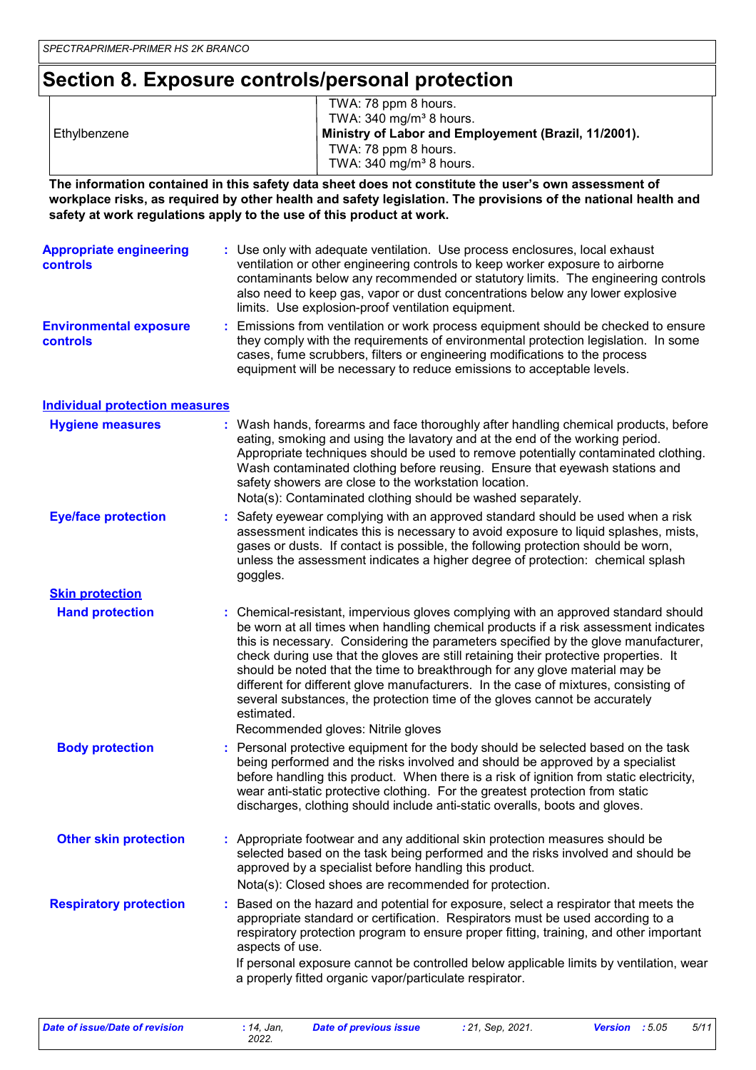### **Section 8. Exposure controls/personal protection**

| TWA: 78 ppm 8 hours.                                 |
|------------------------------------------------------|
| TWA: $340 \text{ ma/m}^3$ 8 hours.                   |
| Ministry of Labor and Employement (Brazil, 11/2001). |
| TWA: 78 ppm 8 hours.                                 |
| TWA: $340 \text{ mg/m}^3$ 8 hours.                   |
|                                                      |

**The information contained in this safety data sheet does not constitute the user's own assessment of workplace risks, as required by other health and safety legislation. The provisions of the national health and safety at work regulations apply to the use of this product at work.**

| <b>Appropriate engineering</b><br><b>controls</b> | : Use only with adequate ventilation. Use process enclosures, local exhaust<br>ventilation or other engineering controls to keep worker exposure to airborne<br>contaminants below any recommended or statutory limits. The engineering controls<br>also need to keep gas, vapor or dust concentrations below any lower explosive<br>limits. Use explosion-proof ventilation equipment. |
|---------------------------------------------------|-----------------------------------------------------------------------------------------------------------------------------------------------------------------------------------------------------------------------------------------------------------------------------------------------------------------------------------------------------------------------------------------|
| <b>Environmental exposure</b><br><b>controls</b>  | : Emissions from ventilation or work process equipment should be checked to ensure<br>they comply with the requirements of environmental protection legislation. In some<br>cases, fume scrubbers, filters or engineering modifications to the process<br>equipment will be necessary to reduce emissions to acceptable levels.                                                         |

#### **Individual protection measures**

| <b>Hygiene measures</b>       | : Wash hands, forearms and face thoroughly after handling chemical products, before<br>eating, smoking and using the lavatory and at the end of the working period.<br>Appropriate techniques should be used to remove potentially contaminated clothing.<br>Wash contaminated clothing before reusing. Ensure that eyewash stations and<br>safety showers are close to the workstation location.<br>Nota(s): Contaminated clothing should be washed separately.                                                                                                                                                          |
|-------------------------------|---------------------------------------------------------------------------------------------------------------------------------------------------------------------------------------------------------------------------------------------------------------------------------------------------------------------------------------------------------------------------------------------------------------------------------------------------------------------------------------------------------------------------------------------------------------------------------------------------------------------------|
| <b>Eye/face protection</b>    | Safety eyewear complying with an approved standard should be used when a risk<br>assessment indicates this is necessary to avoid exposure to liquid splashes, mists,<br>gases or dusts. If contact is possible, the following protection should be worn,<br>unless the assessment indicates a higher degree of protection: chemical splash<br>goggles.                                                                                                                                                                                                                                                                    |
| <b>Skin protection</b>        |                                                                                                                                                                                                                                                                                                                                                                                                                                                                                                                                                                                                                           |
| <b>Hand protection</b>        | : Chemical-resistant, impervious gloves complying with an approved standard should<br>be worn at all times when handling chemical products if a risk assessment indicates<br>this is necessary. Considering the parameters specified by the glove manufacturer,<br>check during use that the gloves are still retaining their protective properties. It<br>should be noted that the time to breakthrough for any glove material may be<br>different for different glove manufacturers. In the case of mixtures, consisting of<br>several substances, the protection time of the gloves cannot be accurately<br>estimated. |
|                               | Recommended gloves: Nitrile gloves                                                                                                                                                                                                                                                                                                                                                                                                                                                                                                                                                                                        |
| <b>Body protection</b>        | Personal protective equipment for the body should be selected based on the task<br>being performed and the risks involved and should be approved by a specialist<br>before handling this product. When there is a risk of ignition from static electricity,<br>wear anti-static protective clothing. For the greatest protection from static<br>discharges, clothing should include anti-static overalls, boots and gloves.                                                                                                                                                                                               |
| <b>Other skin protection</b>  | : Appropriate footwear and any additional skin protection measures should be<br>selected based on the task being performed and the risks involved and should be<br>approved by a specialist before handling this product.<br>Nota(s): Closed shoes are recommended for protection.                                                                                                                                                                                                                                                                                                                                        |
| <b>Respiratory protection</b> | Based on the hazard and potential for exposure, select a respirator that meets the<br>appropriate standard or certification. Respirators must be used according to a<br>respiratory protection program to ensure proper fitting, training, and other important<br>aspects of use.<br>If personal exposure cannot be controlled below applicable limits by ventilation, wear<br>a properly fitted organic vapor/particulate respirator.                                                                                                                                                                                    |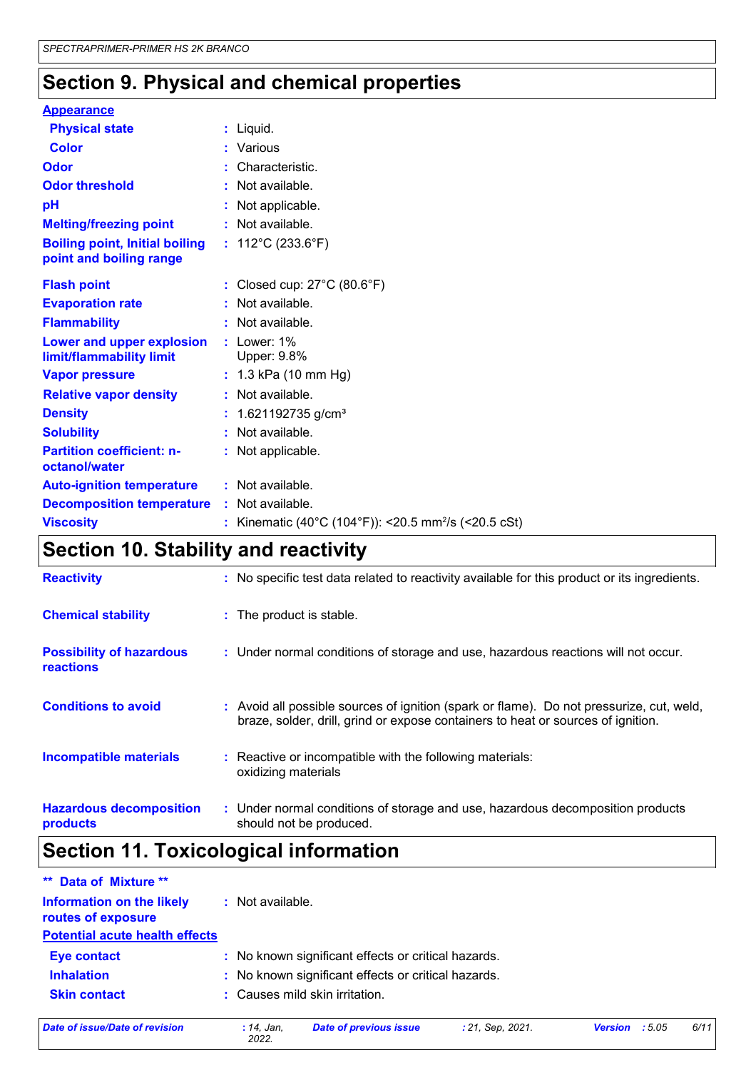### **Section 9. Physical and chemical properties**

| <b>Appearance</b>                                                |                                                                |
|------------------------------------------------------------------|----------------------------------------------------------------|
| <b>Physical state</b>                                            | : Liquid.                                                      |
| <b>Color</b>                                                     | : Various                                                      |
| Odor                                                             | Characteristic.                                                |
| <b>Odor threshold</b>                                            | : Not available.                                               |
| рH                                                               | : Not applicable.                                              |
| <b>Melting/freezing point</b>                                    | : Not available.                                               |
| <b>Boiling point, Initial boiling</b><br>point and boiling range | : $112^{\circ}$ C (233.6 $^{\circ}$ F)                         |
| <b>Flash point</b>                                               | : Closed cup: $27^{\circ}$ C (80.6 $^{\circ}$ F)               |
| <b>Evaporation rate</b>                                          | : Not available.                                               |
| <b>Flammability</b>                                              | : Not available.                                               |
| Lower and upper explosion<br>limit/flammability limit            | $:$ Lower: 1%<br>Upper: 9.8%                                   |
| <b>Vapor pressure</b>                                            | : $1.3$ kPa (10 mm Hg)                                         |
| <b>Relative vapor density</b>                                    | : Not available.                                               |
| <b>Density</b>                                                   | : $1.621192735$ g/cm <sup>3</sup>                              |
| <b>Solubility</b>                                                | : Not available.                                               |
| <b>Partition coefficient: n-</b><br>octanol/water                | : Not applicable.                                              |
| <b>Auto-ignition temperature</b>                                 | : Not available.                                               |
| <b>Decomposition temperature</b>                                 | : Not available.                                               |
| <b>Viscosity</b>                                                 | Kinematic (40°C (104°F)): <20.5 mm <sup>2</sup> /s (<20.5 cSt) |

### **Section 10. Stability and reactivity**

| <b>Reactivity</b>                            | : No specific test data related to reactivity available for this product or its ingredients.                                                                                 |
|----------------------------------------------|------------------------------------------------------------------------------------------------------------------------------------------------------------------------------|
| <b>Chemical stability</b>                    | : The product is stable.                                                                                                                                                     |
| <b>Possibility of hazardous</b><br>reactions | : Under normal conditions of storage and use, hazardous reactions will not occur.                                                                                            |
| <b>Conditions to avoid</b>                   | : Avoid all possible sources of ignition (spark or flame). Do not pressurize, cut, weld,<br>braze, solder, drill, grind or expose containers to heat or sources of ignition. |
| <b>Incompatible materials</b>                | : Reactive or incompatible with the following materials:<br>oxidizing materials                                                                                              |
| <b>Hazardous decomposition</b><br>products   | : Under normal conditions of storage and use, hazardous decomposition products<br>should not be produced.                                                                    |

## **Section 11. Toxicological information**

| ** Data of Mixture **                           |                                                     |
|-------------------------------------------------|-----------------------------------------------------|
| Information on the likely<br>routes of exposure | : Not available.                                    |
| <b>Potential acute health effects</b>           |                                                     |
| <b>Eye contact</b>                              | : No known significant effects or critical hazards. |
| <b>Inhalation</b>                               | : No known significant effects or critical hazards. |
| <b>Skin contact</b>                             | : Causes mild skin irritation.                      |

*Date of issue/Date of revision* **:** *14, Jan,*

```
2022.
```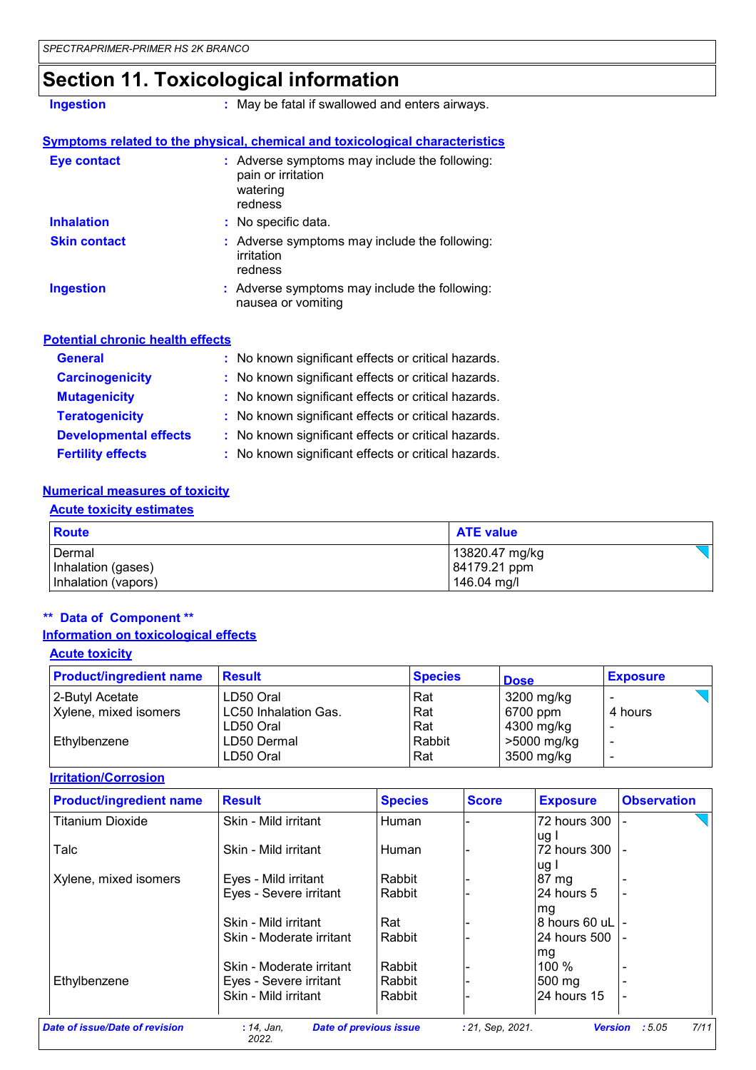## **Section 11. Toxicological information**

**Ingestion :** May be fatal if swallowed and enters airways.

#### **Symptoms related to the physical, chemical and toxicological characteristics**

| <b>Eye contact</b>  | : Adverse symptoms may include the following:<br>pain or irritation<br>watering<br>redness |
|---------------------|--------------------------------------------------------------------------------------------|
| <b>Inhalation</b>   | $:$ No specific data.                                                                      |
| <b>Skin contact</b> | : Adverse symptoms may include the following:<br>irritation<br>redness                     |
| <b>Ingestion</b>    | : Adverse symptoms may include the following:<br>nausea or vomiting                        |

#### **Potential chronic health effects**

| <b>General</b>               | : No known significant effects or critical hazards. |
|------------------------------|-----------------------------------------------------|
| <b>Carcinogenicity</b>       | : No known significant effects or critical hazards. |
| <b>Mutagenicity</b>          | : No known significant effects or critical hazards. |
| <b>Teratogenicity</b>        | : No known significant effects or critical hazards. |
| <b>Developmental effects</b> | : No known significant effects or critical hazards. |
| <b>Fertility effects</b>     | : No known significant effects or critical hazards. |

#### **Numerical measures of toxicity**

#### **Acute toxicity estimates**

| Route               | <b>ATE value</b> |
|---------------------|------------------|
| <b>I</b> Dermal     | 13820.47 mg/kg   |
| Inhalation (gases)  | 84179.21 ppm     |
| Inhalation (vapors) | 146.04 mg/l      |

#### **\*\* Data of Component \*\***

#### **Acute toxicity Information on toxicological effects**

| <b>ACULE LUXICILY</b>          |                      |                |             |                 |
|--------------------------------|----------------------|----------------|-------------|-----------------|
| <b>Product/ingredient name</b> | <b>Result</b>        | <b>Species</b> | <b>Dose</b> | <b>Exposure</b> |
| 2-Butyl Acetate                | LD50 Oral            | Rat            | 3200 mg/kg  |                 |
| Xylene, mixed isomers          | LC50 Inhalation Gas. | Rat            | 6700 ppm    | 4 hours         |
|                                | LD50 Oral            | Rat            | 4300 mg/kg  |                 |
| Ethylbenzene                   | LD50 Dermal          | Rabbit         | >5000 mg/kg |                 |
|                                | LD50 Oral            | Rat            | 3500 mg/kg  |                 |

**Irritation/Corrosion**

| <b>Product/ingredient name</b> | <b>Result</b>            | <b>Species</b> | <b>Score</b> | <b>Exposure</b> | <b>Observation</b> |
|--------------------------------|--------------------------|----------------|--------------|-----------------|--------------------|
| <b>Titanium Dioxide</b>        | Skin - Mild irritant     | Human          |              | 72 hours 300    |                    |
|                                |                          |                |              | ug l            |                    |
| Talc                           | Skin - Mild irritant     | Human          |              | l72 hours 300   |                    |
|                                |                          |                |              | ug l            |                    |
| Xylene, mixed isomers          | Eyes - Mild irritant     | Rabbit         |              | 87 mg           |                    |
|                                | Eyes - Severe irritant   | Rabbit         |              | 24 hours 5      |                    |
|                                |                          |                |              | mg              |                    |
|                                | Skin - Mild irritant     | Rat            |              | $8$ hours 60 uL |                    |
|                                | Skin - Moderate irritant | Rabbit         |              | 24 hours 500    |                    |
|                                |                          |                |              | mg              |                    |
|                                | Skin - Moderate irritant | Rabbit         |              | $100 \%$        |                    |
| Ethylbenzene                   | Eyes - Severe irritant   | Rabbit         |              | 500 mg          |                    |
|                                | Skin - Mild irritant     | Rabbit         |              | 24 hours 15     |                    |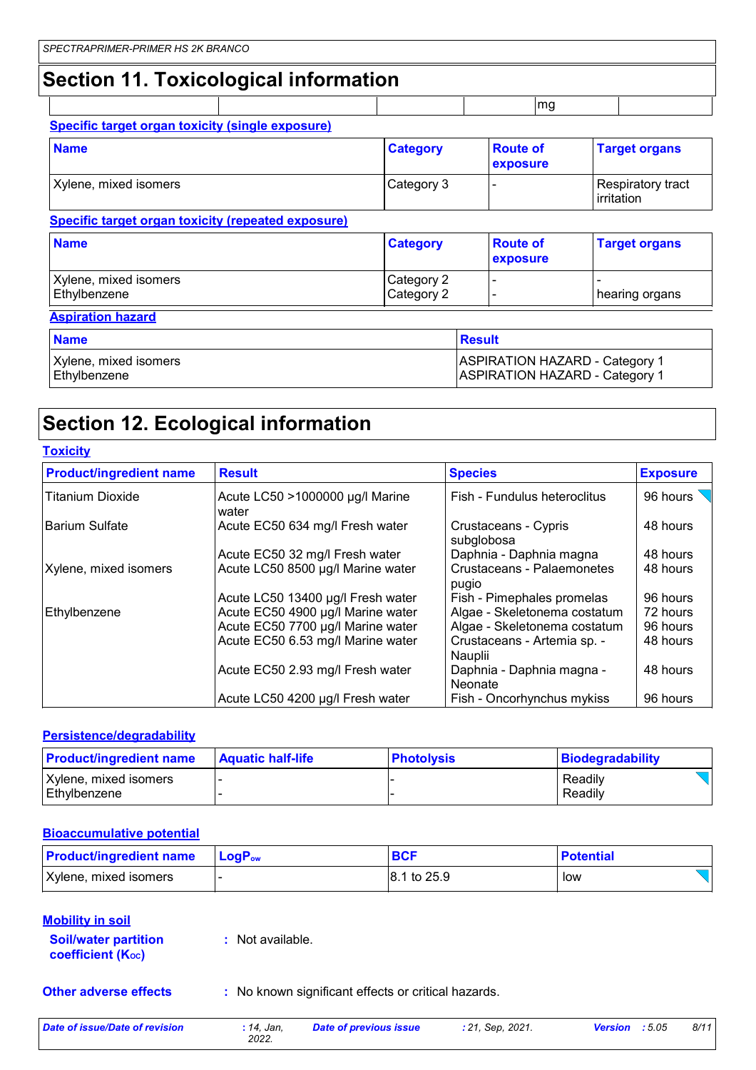## **Section 11. Toxicological information**

| Specific target organ toxicity (single exposure)          |                          |                                                                         |                                 |
|-----------------------------------------------------------|--------------------------|-------------------------------------------------------------------------|---------------------------------|
| <b>Name</b>                                               | <b>Category</b>          | <b>Route of</b><br>exposure                                             | <b>Target organs</b>            |
| Xylene, mixed isomers                                     | Category 3               |                                                                         | Respiratory tract<br>irritation |
| <b>Specific target organ toxicity (repeated exposure)</b> |                          |                                                                         |                                 |
| <b>Name</b>                                               | <b>Category</b>          | <b>Route of</b><br>exposure                                             | <b>Target organs</b>            |
| Xylene, mixed isomers<br>Ethylbenzene                     | Category 2<br>Category 2 |                                                                         | hearing organs                  |
| <b>Aspiration hazard</b>                                  |                          |                                                                         |                                 |
| <b>Name</b>                                               |                          | <b>Result</b>                                                           |                                 |
| Xylene, mixed isomers<br>Ethylbenzene                     |                          | <b>ASPIRATION HAZARD - Category 1</b><br>ASPIRATION HAZARD - Category 1 |                                 |

mg

### **Section 12. Ecological information**

| <b>Toxicity</b>                |                                          |                                        |                 |
|--------------------------------|------------------------------------------|----------------------------------------|-----------------|
| <b>Product/ingredient name</b> | <b>Result</b>                            | <b>Species</b>                         | <b>Exposure</b> |
| <b>Titanium Dioxide</b>        | Acute LC50 >1000000 µg/l Marine<br>water | Fish - Fundulus heteroclitus           | 96 hours        |
| <b>Barium Sulfate</b>          | Acute EC50 634 mg/l Fresh water          | Crustaceans - Cypris<br>subglobosa     | 48 hours        |
|                                | Acute EC50 32 mg/l Fresh water           | Daphnia - Daphnia magna                | 48 hours        |
| Xylene, mixed isomers          | Acute LC50 8500 µg/l Marine water        | Crustaceans - Palaemonetes<br>pugio    | 48 hours        |
|                                | Acute LC50 13400 µg/l Fresh water        | Fish - Pimephales promelas             | 96 hours        |
| Ethylbenzene                   | Acute EC50 4900 µg/l Marine water        | Algae - Skeletonema costatum           | 72 hours        |
|                                | Acute EC50 7700 µg/l Marine water        | Algae - Skeletonema costatum           | 96 hours        |
|                                | Acute EC50 6.53 mg/l Marine water        | Crustaceans - Artemia sp. -<br>Nauplii | 48 hours        |
|                                | Acute EC50 2.93 mg/l Fresh water         | Daphnia - Daphnia magna -<br>Neonate   | 48 hours        |
|                                | Acute LC50 4200 µg/l Fresh water         | Fish - Oncorhynchus mykiss             | 96 hours        |

#### **Persistence/degradability**

| <b>Product/ingredient name</b>          | <b>Aquatic half-life</b> | <b>Photolysis</b> | Biodegradability   |
|-----------------------------------------|--------------------------|-------------------|--------------------|
| Xylene, mixed isomers<br>l Ethvlbenzene |                          |                   | Readily<br>Readily |

#### **Bioaccumulative potential**

| <b>Product/ingredient name</b> | <b>LogP</b> <sub>ow</sub> | <b>BCF</b>  | <b>Potential</b> |
|--------------------------------|---------------------------|-------------|------------------|
| Xylene, mixed isomers          |                           | 8.1 to 25.9 | low              |

#### **Mobility in soil**

**Soil/water partition coefficient (Koc)** 

**:** Not available.

**Other adverse effects** : No known significant effects or critical hazards.

*Date of issue/Date of revision* **:** *14, Jan,*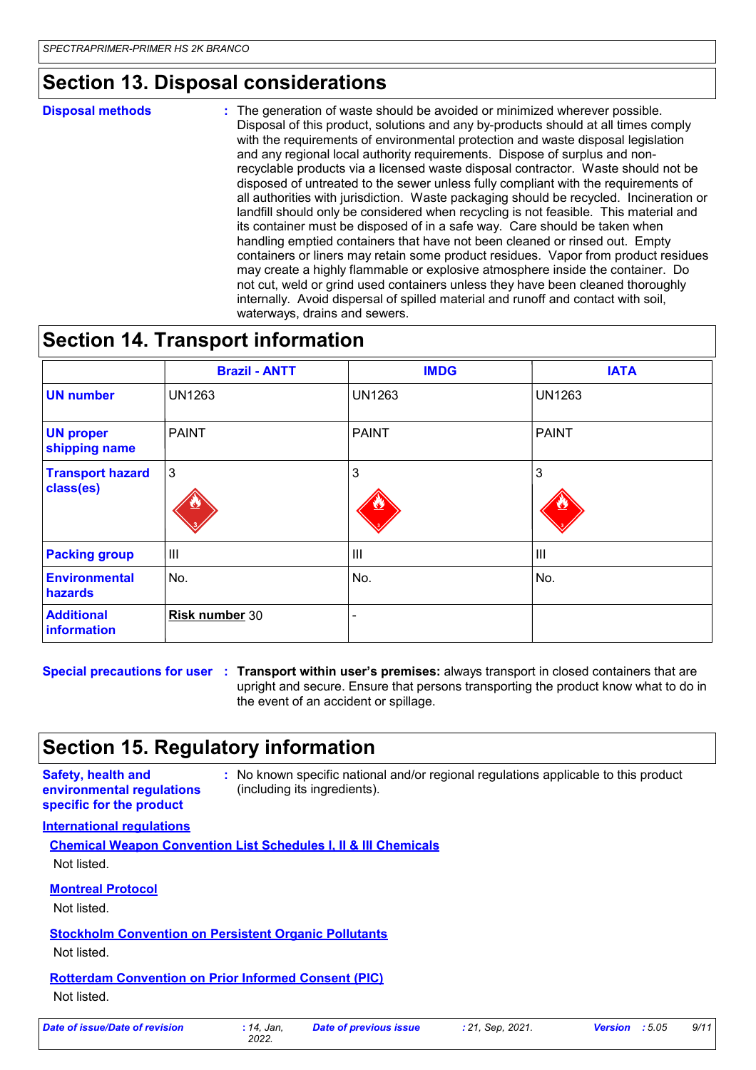### **Section 13. Disposal considerations**

#### **Disposal methods :**

The generation of waste should be avoided or minimized wherever possible. Disposal of this product, solutions and any by-products should at all times comply with the requirements of environmental protection and waste disposal legislation and any regional local authority requirements. Dispose of surplus and nonrecyclable products via a licensed waste disposal contractor. Waste should not be disposed of untreated to the sewer unless fully compliant with the requirements of all authorities with jurisdiction. Waste packaging should be recycled. Incineration or landfill should only be considered when recycling is not feasible. This material and its container must be disposed of in a safe way. Care should be taken when handling emptied containers that have not been cleaned or rinsed out. Empty containers or liners may retain some product residues. Vapor from product residues may create a highly flammable or explosive atmosphere inside the container. Do not cut, weld or grind used containers unless they have been cleaned thoroughly internally. Avoid dispersal of spilled material and runoff and contact with soil, waterways, drains and sewers.

### **Section 14. Transport information**

|                                      | <b>Brazil - ANTT</b> | <b>IMDG</b>    | <b>IATA</b>    |
|--------------------------------------|----------------------|----------------|----------------|
| <b>UN number</b>                     | <b>UN1263</b>        | <b>UN1263</b>  | <b>UN1263</b>  |
| <b>UN proper</b><br>shipping name    | <b>PAINT</b>         | <b>PAINT</b>   | <b>PAINT</b>   |
| <b>Transport hazard</b><br>class(es) | $\vert 3 \vert$      | 3              | 3              |
| <b>Packing group</b>                 | Ш                    | $\mathbf{III}$ | $\mathbf{III}$ |
| <b>Environmental</b><br>hazards      | No.                  | No.            | No.            |
| <b>Additional</b><br>information     | Risk number 30       | ۰              |                |

**Special precautions for user Transport within user's premises:** always transport in closed containers that are **:** upright and secure. Ensure that persons transporting the product know what to do in the event of an accident or spillage.

### **Section 15. Regulatory information**

#### **Safety, health and environmental regulations specific for the product**

**:** No known specific national and/or regional regulations applicable to this product (including its ingredients).

#### **International regulations**

**Chemical Weapon Convention List Schedules I, II & III Chemicals** Not listed.

#### **Montreal Protocol**

Not listed.

#### **Stockholm Convention on Persistent Organic Pollutants**

Not listed.

### **Rotterdam Convention on Prior Informed Consent (PIC)**

Not listed.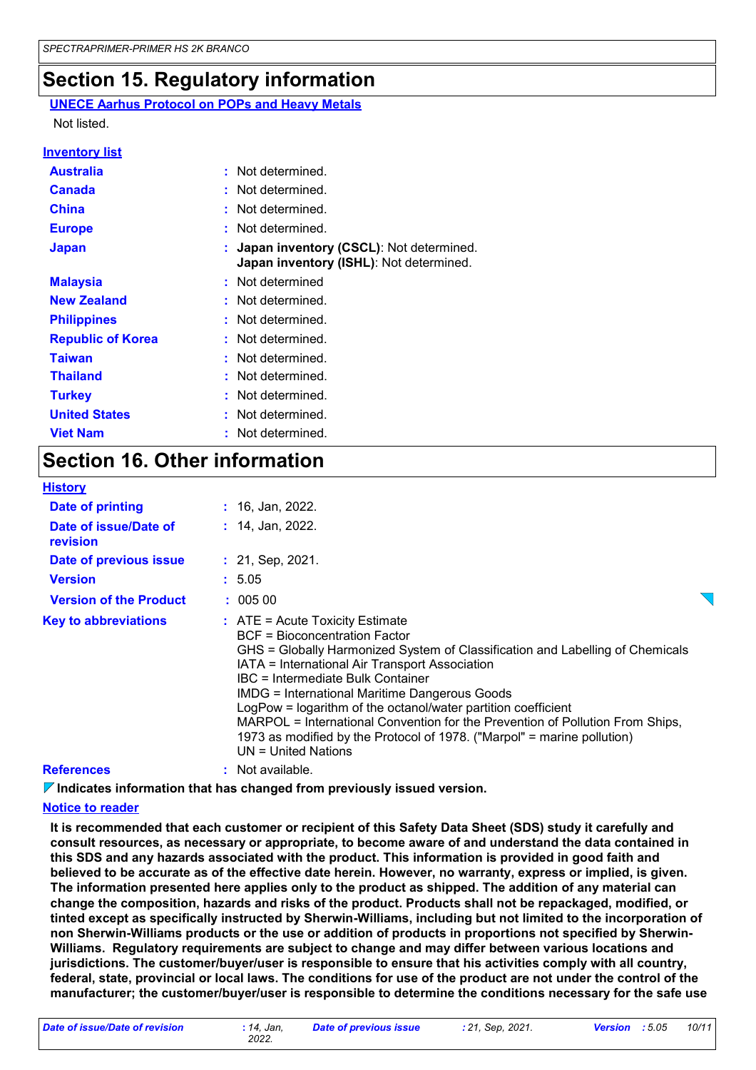### **Section 15. Regulatory information**

**UNECE Aarhus Protocol on POPs and Heavy Metals** Not listed.

#### **Inventory list**

| <b>Australia</b>         | : Not determined.                                                                    |
|--------------------------|--------------------------------------------------------------------------------------|
| <b>Canada</b>            | : Not determined.                                                                    |
| <b>China</b>             | : Not determined.                                                                    |
| <b>Europe</b>            | Not determined.                                                                      |
| <b>Japan</b>             | : Japan inventory (CSCL): Not determined.<br>Japan inventory (ISHL): Not determined. |
| <b>Malaysia</b>          | : Not determined                                                                     |
| <b>New Zealand</b>       | : Not determined.                                                                    |
| <b>Philippines</b>       | : Not determined.                                                                    |
| <b>Republic of Korea</b> | : Not determined.                                                                    |
| <b>Taiwan</b>            | : Not determined.                                                                    |
| <b>Thailand</b>          | : Not determined.                                                                    |
| <b>Turkey</b>            | : Not determined.                                                                    |
| <b>United States</b>     | : Not determined.                                                                    |
| <b>Viet Nam</b>          | : Not determined.                                                                    |

### **Section 16. Other information**

| <b>History</b>                    |                                                                                                                                                                                                                                                                                                                                                                                                                                                                                                                                                        |
|-----------------------------------|--------------------------------------------------------------------------------------------------------------------------------------------------------------------------------------------------------------------------------------------------------------------------------------------------------------------------------------------------------------------------------------------------------------------------------------------------------------------------------------------------------------------------------------------------------|
| Date of printing                  | $: 16,$ Jan, 2022.                                                                                                                                                                                                                                                                                                                                                                                                                                                                                                                                     |
| Date of issue/Date of<br>revision | $: 14$ , Jan, 2022.                                                                                                                                                                                                                                                                                                                                                                                                                                                                                                                                    |
| Date of previous issue            | $: 21,$ Sep, 2021.                                                                                                                                                                                                                                                                                                                                                                                                                                                                                                                                     |
| <b>Version</b>                    | : 5.05                                                                                                                                                                                                                                                                                                                                                                                                                                                                                                                                                 |
| <b>Version of the Product</b>     | : 00500                                                                                                                                                                                                                                                                                                                                                                                                                                                                                                                                                |
| <b>Key to abbreviations</b>       | $:$ ATE = Acute Toxicity Estimate<br>BCF = Bioconcentration Factor<br>GHS = Globally Harmonized System of Classification and Labelling of Chemicals<br>IATA = International Air Transport Association<br>IBC = Intermediate Bulk Container<br><b>IMDG = International Maritime Dangerous Goods</b><br>LogPow = logarithm of the octanol/water partition coefficient<br>MARPOL = International Convention for the Prevention of Pollution From Ships,<br>1973 as modified by the Protocol of 1978. ("Marpol" = marine pollution)<br>UN = United Nations |
| <b>References</b>                 | $:$ Not available.                                                                                                                                                                                                                                                                                                                                                                                                                                                                                                                                     |

**Indicates information that has changed from previously issued version.**

#### **Notice to reader**

**It is recommended that each customer or recipient of this Safety Data Sheet (SDS) study it carefully and consult resources, as necessary or appropriate, to become aware of and understand the data contained in this SDS and any hazards associated with the product. This information is provided in good faith and believed to be accurate as of the effective date herein. However, no warranty, express or implied, is given. The information presented here applies only to the product as shipped. The addition of any material can change the composition, hazards and risks of the product. Products shall not be repackaged, modified, or tinted except as specifically instructed by Sherwin-Williams, including but not limited to the incorporation of non Sherwin-Williams products or the use or addition of products in proportions not specified by Sherwin-Williams. Regulatory requirements are subject to change and may differ between various locations and jurisdictions. The customer/buyer/user is responsible to ensure that his activities comply with all country, federal, state, provincial or local laws. The conditions for use of the product are not under the control of the manufacturer; the customer/buyer/user is responsible to determine the conditions necessary for the safe use**